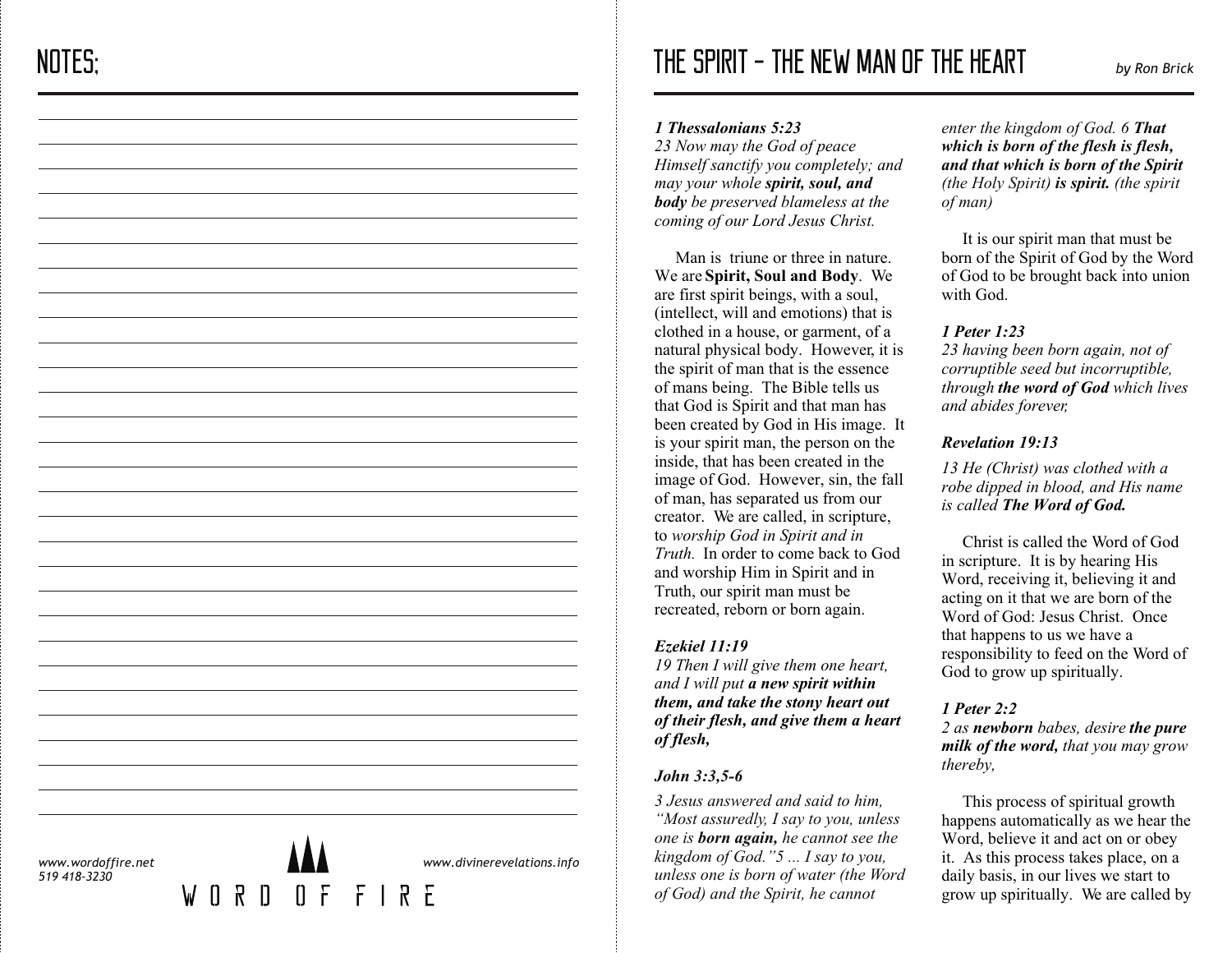# THE SPIRIT - THE NEW MAN OF THE HEART *by Ron Brick*

#### *1 Thessalonians 5:23*

*23 Now may the God of peace Himself sanctify you completely; and may your whole spirit, soul, and body be preserved blameless at the coming of our Lord Jesus Christ.*

Man is triune or three in nature. We are **Spirit, Soul and Body**. We are first spirit beings, with a soul, (intellect, will and emotions) that is clothed in a house, or garment, of a natural physical body. However, it is the spirit of man that is the essence of mans being. The Bible tells us that God is Spirit and that man has been created by God in His image. It is your spirit man, the person on the inside, that has been created in the image of God. However, sin, the fall of man, has separated us from our creator. We are called, in scripture, to *worship God in Spirit and in Truth.* In order to come back to God and worship Him in Spirit and in Truth, our spirit man must be recreated, reborn or born again.

## *Ezekiel 11:19*

*19 Then I will give them one heart, and I will put a new spirit within them, and take the stony heart out of their flesh, and give them a heart of flesh,*

## *John 3:3,5-6*

*3 Jesus answered and said to him, "Most assuredly, I say to you, unless one is born again, he cannot see the kingdom of God."5 ... I say to you, unless one is born of water (the Word of God) and the Spirit, he cannot* 

*enter the kingdom of God. 6 That which is born of the flesh is flesh, and that which is born of the Spirit (the Holy Spirit) is spirit. (the spirit of man)* 

 It is our spirit man that must be born of the Spirit of God by the Word of God to be brought back into union with God.

# *1 Peter 1:23*

*23 having been born again, not of corruptible seed but incorruptible, through the word of God which lives and abides forever,*

## *Revelation 19:13*

*13 He (Christ) was clothed with a robe dipped in blood, and His name is called The Word of God.*

Christ is called the Word of God in scripture. It is by hearing His Word, receiving it, believing it and acting on it that we are born of the Word of God: Jesus Christ. Once that happens to us we have a responsibility to feed on the Word of God to grow up spiritually.

# *1 Peter 2:2*

*2 as newborn babes, desire the pure milk of the word, that you may grow thereby,*

 This process of spiritual growth happens automatically as we hear the Word, believe it and act on or obey it. As this process takes place, on a daily basis, in our lives we start to grow up spiritually. We are called by

*www.wordoffire.net 519 418-3230*

 $\mathsf{M}$ 



*www.divinerevelations.info*